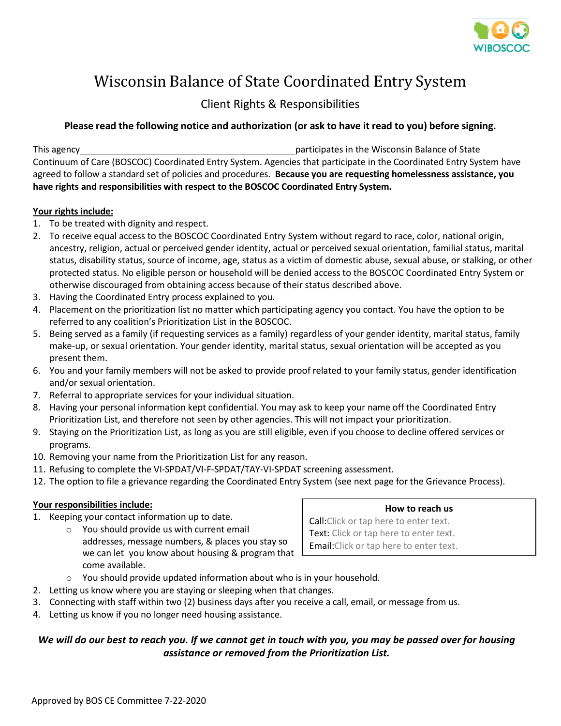

# Wisconsin Balance of State Coordinated Entry System

## Client Rights & Responsibilities

## **Please read the following notice and authorization (or ask to have it read to you) before signing.**

This agency participates in the Wisconsin Balance of State Continuum of Care (BOSCOC) Coordinated Entry System. Agencies that participate in the Coordinated Entry System have agreed to follow a standard set of policies and procedures. **Because you are requesting homelessness assistance, you have rights and responsibilities with respect to the BOSCOC Coordinated Entry System.**

## **Your rights include:**

- 1. To be treated with dignity and respect.
- 2. To receive equal access to the BOSCOC Coordinated Entry System without regard to race, color, national origin, ancestry, religion, actual or perceived gender identity, actual or perceived sexual orientation, familial status, marital status, disability status, source of income, age, status as a victim of domestic abuse, sexual abuse, or stalking, or other protected status. No eligible person or household will be denied access to the BOSCOC Coordinated Entry System or otherwise discouraged from obtaining access because of their status described above.
- 3. Having the Coordinated Entry process explained to you.
- 4. Placement on the prioritization list no matter which participating agency you contact. You have the option to be referred to any coalition's Prioritization List in the BOSCOC.
- 5. Being served as a family (if requesting services as a family) regardless of your gender identity, marital status, family make-up, or sexual orientation. Your gender identity, marital status, sexual orientation will be accepted as you present them.
- 6. You and your family members will not be asked to provide proof related to your family status, gender identification and/or sexual orientation.
- 7. Referral to appropriate services for your individual situation.
- 8. Having your personal information kept confidential. You may ask to keep your name off the Coordinated Entry Prioritization List, and therefore not seen by other agencies. This will not impact your prioritization.
- 9. Staying on the Prioritization List, as long as you are still eligible, even if you choose to decline offered services or programs.
- 10. Removing your name from the Prioritization List for any reason.
- 11. Refusing to complete the VI-SPDAT/VI-F-SPDAT/TAY-VI-SPDAT screening assessment.
- 12. The option to file a grievance regarding the Coordinated Entry System (see next page for the Grievance Process).

## **Your responsibilities include:**

- 1. Keeping your contact information up to date.
	- o You should provide us with current email addresses, message numbers, & places you stay so we can let you know about housing & program that come available.

**How to reach us**

Call:Click or tap here to enter text. Text: Click or tap here to enter text. Email:Click or tap here to enter text.

- o You should provide updated information about who is in your household.
- 2. Letting us know where you are staying or sleeping when that changes.
- 3. Connecting with staff within two (2) business days after you receive a call, email, or message from us.
- 4. Letting us know if you no longer need housing assistance.

## *We will do our best to reach you. If we cannot get in touch with you, you may be passed over for housing assistance or removed from the Prioritization List.*